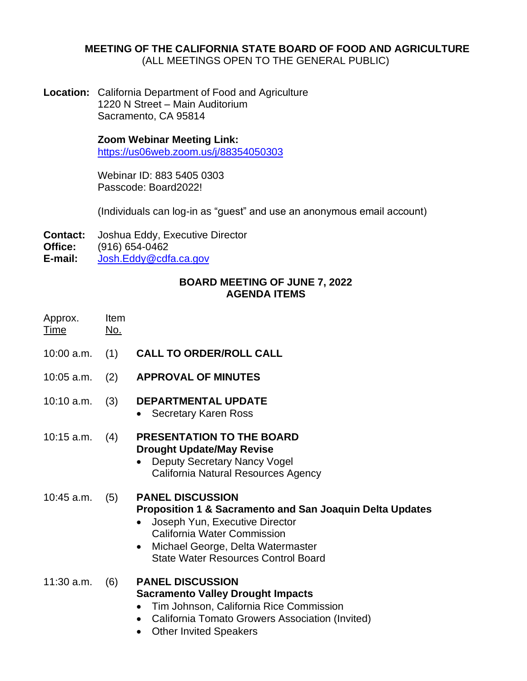### **MEETING OF THE CALIFORNIA STATE BOARD OF FOOD AND AGRICULTURE** (ALL MEETINGS OPEN TO THE GENERAL PUBLIC)

**Location:** California Department of Food and Agriculture 1220 N Street – Main Auditorium Sacramento, CA 95814

> **Zoom Webinar Meeting Link:** <https://us06web.zoom.us/j/88354050303>

Webinar ID: 883 5405 0303 Passcode: Board2022!

(Individuals can log-in as "guest" and use an anonymous email account)

- **Contact:** Joshua Eddy, Executive Director
- **Office:** (916) 654-0462
- **E-mail:** [Josh.Eddy@cdfa.ca.gov](mailto:Josh.Eddy@cdfa.ca.gov)

## **BOARD MEETING OF JUNE 7, 2022 AGENDA ITEMS**

- Approx. Item Time No. 10:00 a.m. (1) **CALL TO ORDER/ROLL CALL** 10:05 a.m. (2) **APPROVAL OF MINUTES** 10:10 a.m. (3) **DEPARTMENTAL UPDATE** • Secretary Karen Ross 10:15 a.m. (4) **PRESENTATION TO THE BOARD Drought Update/May Revise**  • Deputy Secretary Nancy Vogel California Natural Resources Agency 10:45 a.m. (5) **PANEL DISCUSSION Proposition 1 & Sacramento and San Joaquin Delta Updates** • Joseph Yun, Executive Director California Water Commission • Michael George, Delta Watermaster State Water Resources Control Board 11:30 a.m. (6) **PANEL DISCUSSION Sacramento Valley Drought Impacts** • Tim Johnson, California Rice Commission • California Tomato Growers Association (Invited)
	- Other Invited Speakers